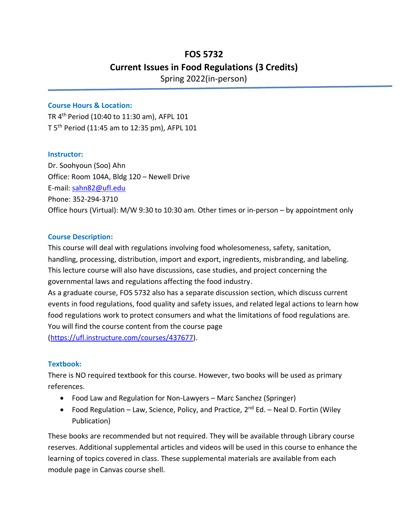# **FOS 5732 Current Issues in Food Regulations (3 Credits)** Spring 2022(in-person)

#### **Course Hours & Location:**

TR 4th Period (10:40 to 11:30 am), AFPL 101 T 5th Period (11:45 am to 12:35 pm), AFPL 101

#### **Instructor:**

Dr. Soohyoun (Soo) Ahn Office: Room 104A, Bldg 120 – Newell Drive E-mail: [sahn82@ufl.edu](mailto:sahn82@ufl.edu) Phone: 352-294-3710 Office hours (Virtual): M/W 9:30 to 10:30 am. Other times or in-person – by appointment only

#### **Course Description:**

This course will deal with regulations involving food wholesomeness, safety, sanitation, handling, processing, distribution, import and export, ingredients, misbranding, and labeling. This lecture course will also have discussions, case studies, and project concerning the governmental laws and regulations affecting the food industry.

As a graduate course, FOS 5732 also has a separate discussion section, which discuss current events in food regulations, food quality and safety issues, and related legal actions to learn how food regulations work to protect consumers and what the limitations of food regulations are. You will find the course content from the course page

[\(https://ufl.instructure.com/courses/437677\)](https://ufl.instructure.com/courses/437677).

### **Textbook:**

There is NO required textbook for this course. However, two books will be used as primary references.

- Food Law and Regulation for Non-Lawyers Marc Sanchez (Springer)
- Food Regulation Law, Science, Policy, and Practice,  $2^{nd}$  Ed. Neal D. Fortin (Wiley Publication)

These books are recommended but not required. They will be available through Library course reserves. Additional supplemental articles and videos will be used in this course to enhance the learning of topics covered in class. These supplemental materials are available from each module page in Canvas course shell.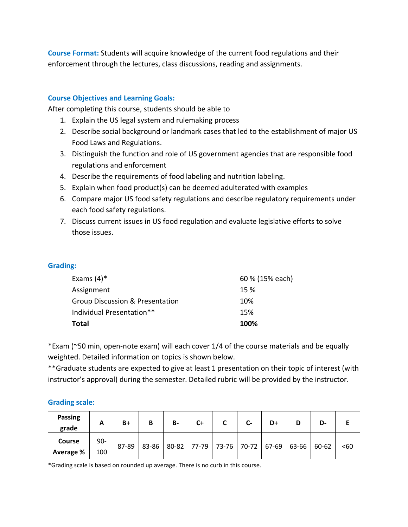**Course Format:** Students will acquire knowledge of the current food regulations and their enforcement through the lectures, class discussions, reading and assignments.

## **Course Objectives and Learning Goals:**

After completing this course, students should be able to

- 1. Explain the US legal system and rulemaking process
- 2. Describe social background or landmark cases that led to the establishment of major US Food Laws and Regulations.
- 3. Distinguish the function and role of US government agencies that are responsible food regulations and enforcement
- 4. Describe the requirements of food labeling and nutrition labeling.
- 5. Explain when food product(s) can be deemed adulterated with examples
- 6. Compare major US food safety regulations and describe regulatory requirements under each food safety regulations.
- 7. Discuss current issues in US food regulation and evaluate legislative efforts to solve those issues.

### **Grading:**

| <b>Total</b>                    | 100%            |
|---------------------------------|-----------------|
| Individual Presentation**       | 15%             |
| Group Discussion & Presentation | 10%             |
| Assignment                      | 15 %            |
| Exams $(4)^*$                   | 60 % (15% each) |

\*Exam (~50 min, open-note exam) will each cover 1/4 of the course materials and be equally weighted. Detailed information on topics is shown below.

\*\*Graduate students are expected to give at least 1 presentation on their topic of interest (with instructor's approval) during the semester. Detailed rubric will be provided by the instructor.

### **Grading scale:**

| <b>Passing</b><br>grade    | A             | B+    | B     | <b>B-</b> | C+ | $\mathsf{C}$ | D+                                  | D-    |      |
|----------------------------|---------------|-------|-------|-----------|----|--------------|-------------------------------------|-------|------|
| <b>Course</b><br>Average % | $90 -$<br>100 | 87-89 | 83-86 |           |    |              | 80-82 77-79 73-76 70-72 67-69 63-66 | 60-62 | $60$ |

\*Grading scale is based on rounded up average. There is no curb in this course.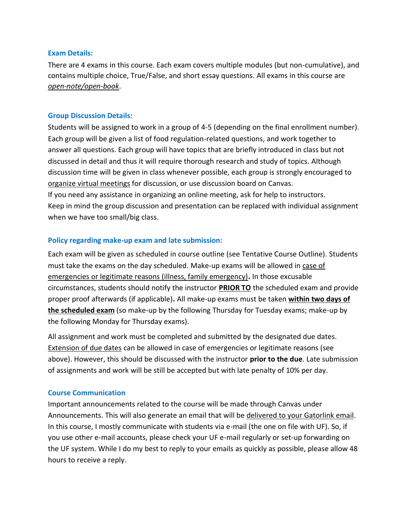#### **Exam Details:**

There are 4 exams in this course. Each exam covers multiple modules (but non-cumulative), and contains multiple choice, True/False, and short essay questions. All exams in this course are *open-note/open-book*.

### **Group Discussion Details:**

Students will be assigned to work in a group of 4-5 (depending on the final enrollment number). Each group will be given a list of food regulation-related questions, and work together to answer all questions. Each group will have topics that are briefly introduced in class but not discussed in detail and thus it will require thorough research and study of topics. Although discussion time will be given in class whenever possible, each group is strongly encouraged to organize virtual meetings for discussion, or use discussion board on Canvas. If you need any assistance in organizing an online meeting, ask for help to instructors. Keep in mind the group discussion and presentation can be replaced with individual assignment when we have too small/big class.

### **Policy regarding make-up exam and late submission:**

Each exam will be given as scheduled in course outline (see Tentative Course Outline). Students must take the exams on the day scheduled. Make-up exams will be allowed in case of emergencies or legitimate reasons (illness, family emergency)**.** In those excusable circumstances, students should notify the instructor **PRIOR TO** the scheduled exam and provide proper proof afterwards (if applicable)**.** All make-up exams must be taken **within two days of the scheduled exam** (so make-up by the following Thursday for Tuesday exams; make-up by the following Monday for Thursday exams).

All assignment and work must be completed and submitted by the designated due dates. Extension of due dates can be allowed in case of emergencies or legitimate reasons (see above). However, this should be discussed with the instructor **prior to the due**. Late submission of assignments and work will be still be accepted but with late penalty of 10% per day.

### **Course Communication**

Important announcements related to the course will be made through Canvas under Announcements. This will also generate an email that will be delivered to your Gatorlink email. In this course, I mostly communicate with students via e-mail (the one on file with UF). So, if you use other e-mail accounts, please check your UF e-mail regularly or set-up forwarding on the UF system. While I do my best to reply to your emails as quickly as possible, please allow 48 hours to receive a reply.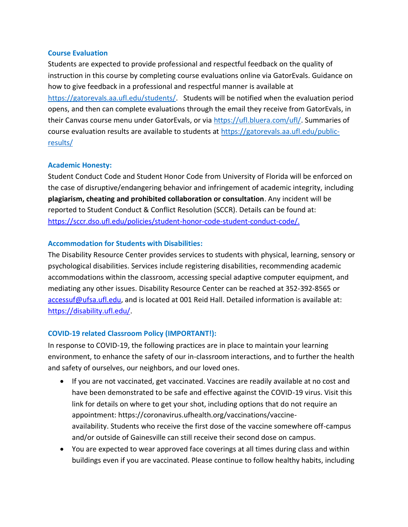#### **Course Evaluation**

Students are expected to provide professional and respectful feedback on the quality of instruction in this course by completing course evaluations online via GatorEvals. Guidance on how to give feedback in a professional and respectful manner is available at [https://gatorevals.aa.ufl.edu/students/.](https://gatorevals.aa.ufl.edu/students/) Students will be notified when the evaluation period opens, and then can complete evaluations through the email they receive from GatorEvals, in their Canvas course menu under GatorEvals, or via [https://ufl.bluera.com/ufl/.](https://ufl.bluera.com/ufl/) Summaries of course evaluation results are available to students at [https://gatorevals.aa.ufl.edu/public](https://gatorevals.aa.ufl.edu/public-results/)[results/](https://gatorevals.aa.ufl.edu/public-results/)

### **Academic Honesty:**

Student Conduct Code and Student Honor Code from University of Florida will be enforced on the case of disruptive/endangering behavior and infringement of academic integrity, including **plagiarism, cheating and prohibited collaboration or consultation**. Any incident will be reported to Student Conduct & Conflict Resolution (SCCR). Details can be found at: [https://sccr.dso.ufl.edu/policies/student-honor-code-student-conduct-code/.](https://sccr.dso.ufl.edu/policies/student-honor-code-student-conduct-code/)

### **Accommodation for Students with Disabilities:**

The Disability Resource Center provides services to students with physical, learning, sensory or psychological disabilities. Services include registering disabilities, recommending academic accommodations within the classroom, accessing special adaptive computer equipment, and mediating any other issues. Disability Resource Center can be reached at 352-392-8565 or [accessuf@ufsa.ufl.edu,](mailto:accessuf@dso.ufl.edu) and is located at 001 Reid Hall. Detailed information is available at: [https://disability.ufl.edu/.](https://disability.ufl.edu/)

### **COVID-19 related Classroom Policy (IMPORTANT!):**

In response to COVID-19, the following practices are in place to maintain your learning environment, to enhance the safety of our in-classroom interactions, and to further the health and safety of ourselves, our neighbors, and our loved ones.

- If you are not vaccinated, get vaccinated. Vaccines are readily available at no cost and have been demonstrated to be safe and effective against the COVID-19 virus. Visit this link for details on where to get your shot, including options that do not require an appointment: https://coronavirus.ufhealth.org/vaccinations/vaccineavailability. Students who receive the first dose of the vaccine somewhere off-campus and/or outside of Gainesville can still receive their second dose on campus.
- You are expected to wear approved face coverings at all times during class and within buildings even if you are vaccinated. Please continue to follow healthy habits, including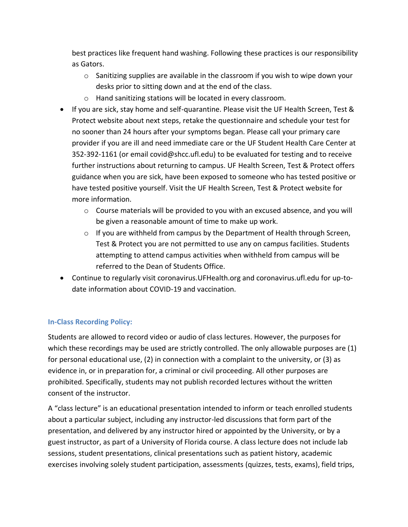best practices like frequent hand washing. Following these practices is our responsibility as Gators.

- $\circ$  Sanitizing supplies are available in the classroom if you wish to wipe down your desks prior to sitting down and at the end of the class.
- o Hand sanitizing stations will be located in every classroom.
- If you are sick, stay home and self-quarantine. Please visit the UF Health Screen, Test & Protect website about next steps, retake the questionnaire and schedule your test for no sooner than 24 hours after your symptoms began. Please call your primary care provider if you are ill and need immediate care or the UF Student Health Care Center at 352-392-1161 (or email covid@shcc.ufl.edu) to be evaluated for testing and to receive further instructions about returning to campus. UF Health Screen, Test & Protect offers guidance when you are sick, have been exposed to someone who has tested positive or have tested positive yourself. Visit the UF Health Screen, Test & Protect website for more information.
	- $\circ$  Course materials will be provided to you with an excused absence, and you will be given a reasonable amount of time to make up work.
	- $\circ$  If you are withheld from campus by the Department of Health through Screen, Test & Protect you are not permitted to use any on campus facilities. Students attempting to attend campus activities when withheld from campus will be referred to the Dean of Students Office.
- Continue to regularly visit coronavirus.UFHealth.org and coronavirus.ufl.edu for up-todate information about COVID-19 and vaccination.

## **In-Class Recording Policy:**

Students are allowed to record video or audio of class lectures. However, the purposes for which these recordings may be used are strictly controlled. The only allowable purposes are (1) for personal educational use, (2) in connection with a complaint to the university, or (3) as evidence in, or in preparation for, a criminal or civil proceeding. All other purposes are prohibited. Specifically, students may not publish recorded lectures without the written consent of the instructor.

A "class lecture" is an educational presentation intended to inform or teach enrolled students about a particular subject, including any instructor-led discussions that form part of the presentation, and delivered by any instructor hired or appointed by the University, or by a guest instructor, as part of a University of Florida course. A class lecture does not include lab sessions, student presentations, clinical presentations such as patient history, academic exercises involving solely student participation, assessments (quizzes, tests, exams), field trips,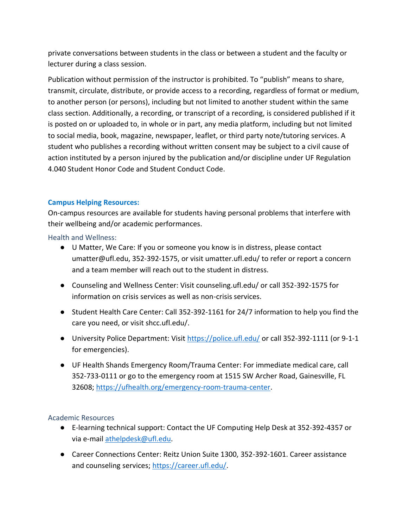private conversations between students in the class or between a student and the faculty or lecturer during a class session.

Publication without permission of the instructor is prohibited. To "publish" means to share, transmit, circulate, distribute, or provide access to a recording, regardless of format or medium, to another person (or persons), including but not limited to another student within the same class section. Additionally, a recording, or transcript of a recording, is considered published if it is posted on or uploaded to, in whole or in part, any media platform, including but not limited to social media, book, magazine, newspaper, leaflet, or third party note/tutoring services. A student who publishes a recording without written consent may be subject to a civil cause of action instituted by a person injured by the publication and/or discipline under UF Regulation 4.040 Student Honor Code and Student Conduct Code.

## **Campus Helping Resources:**

On-campus resources are available for students having personal problems that interfere with their wellbeing and/or academic performances.

Health and Wellness:

- U Matter, We Care: If you or someone you know is in distress, please contact umatter@ufl.edu, 352-392-1575, or visit umatter.ufl.edu/ to refer or report a concern and a team member will reach out to the student in distress.
- Counseling and Wellness Center: Visit counseling.ufl.edu/ or call 352-392-1575 for information on crisis services as well as non-crisis services.
- Student Health Care Center: Call 352-392-1161 for 24/7 information to help you find the care you need, or visit shcc.ufl.edu/.
- University Police Department: Visit<https://police.ufl.edu/> or call 352-392-1111 (or 9-1-1 for emergencies).
- UF Health Shands Emergency Room/Trauma Center: For immediate medical care, call 352-733-0111 or go to the emergency room at 1515 SW Archer Road, Gainesville, FL 32608; [https://ufhealth.org/emergency-room-trauma-center.](https://ufhealth.org/emergency-room-trauma-center)

### Academic Resources

- E-learning technical support: Contact the UF Computing Help Desk at 352-392-4357 or via e-mail [athelpdesk@ufl.edu.](mailto:athelpdesk@ufl.edu)
- Career Connections Center: Reitz Union Suite 1300, 352-392-1601. Career assistance and counseling services; [https://career.ufl.edu/.](https://career.ufl.edu/)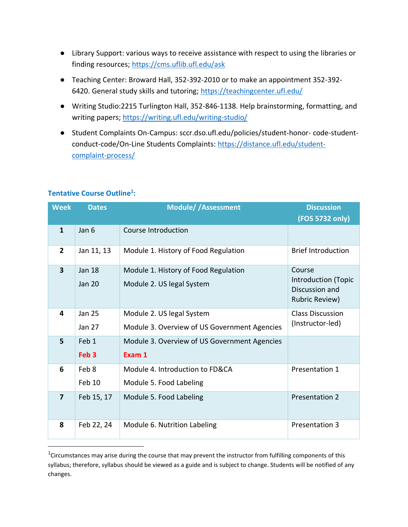- Library Support: various ways to receive assistance with respect to using the libraries or finding resources;<https://cms.uflib.ufl.edu/ask>
- Teaching Center: Broward Hall, 352-392-2010 or to make an appointment 352-392 6420. General study skills and tutoring;<https://teachingcenter.ufl.edu/>
- Writing Studio:2215 Turlington Hall, 352-846-1138. Help brainstorming, formatting, and writing papers;<https://writing.ufl.edu/writing-studio/>
- Student Complaints On-Campus: sccr.dso.ufl.edu/policies/student-honor- code-studentconduct-code/On-Line Students Complaints: [https://distance.ufl.edu/student](https://distance.ufl.edu/student-complaint-process/)[complaint-process/](https://distance.ufl.edu/student-complaint-process/)

| <b>Week</b>             | <b>Dates</b>                   | <b>Module//Assessment</b>                                         | <b>Discussion</b>                                      |  |
|-------------------------|--------------------------------|-------------------------------------------------------------------|--------------------------------------------------------|--|
|                         |                                |                                                                   | (FOS 5732 only)                                        |  |
| $\mathbf{1}$            | Jan 6                          | Course Introduction                                               |                                                        |  |
| $\overline{2}$          | Jan 11, 13                     | Module 1. History of Food Regulation                              | <b>Brief Introduction</b>                              |  |
| $\overline{\mathbf{3}}$ | <b>Jan 18</b><br><b>Jan 20</b> | Module 1. History of Food Regulation<br>Module 2. US legal System | Course<br><b>Introduction (Topic</b><br>Discussion and |  |
|                         |                                |                                                                   | <b>Rubric Review)</b>                                  |  |
| 4                       | <b>Jan 25</b>                  | Module 2. US legal System                                         | <b>Class Discussion</b>                                |  |
|                         | <b>Jan 27</b>                  | Module 3. Overview of US Government Agencies                      | (Instructor-led)                                       |  |
| 5                       | Feb 1                          | Module 3. Overview of US Government Agencies                      |                                                        |  |
|                         | Feb <sub>3</sub>               | Exam 1                                                            |                                                        |  |
| 6                       | Feb 8                          | Module 4. Introduction to FD&CA                                   | Presentation 1                                         |  |
|                         | Feb 10                         | Module 5. Food Labeling                                           |                                                        |  |
| $\overline{7}$          | Feb 15, 17                     | Module 5. Food Labeling                                           | <b>Presentation 2</b>                                  |  |
| 8                       | Feb 22, 24                     | Module 6. Nutrition Labeling                                      | <b>Presentation 3</b>                                  |  |

# **Tentative Course Outline<sup>1</sup> :**

<sup>&</sup>lt;sup>1</sup>Circumstances may arise during the course that may prevent the instructor from fulfilling components of this syllabus; therefore, syllabus should be viewed as a guide and is subject to change. Students will be notified of any changes.